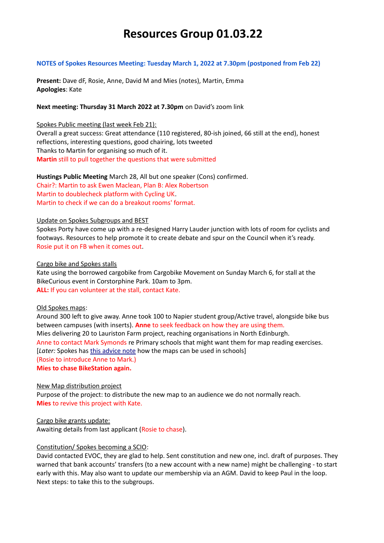# **Resources Group 01.03.22**

#### **NOTES of Spokes Resources Meeting: Tuesday March 1, 2022 at 7.30pm (postponed from Feb 22)**

**Present:** Dave dF, Rosie, Anne, David M and Mies (notes), Martin, Emma **Apologies**: Kate

# **Next meeting: Thursday 31 March 2022 at 7.30pm** on David's zoom link

## Spokes Public meeting (last week Feb 21):

Overall a great success: Great attendance (110 registered, 80-ish joined, 66 still at the end), honest reflections, interesting questions, good chairing, lots tweeted Thanks to Martin for organising so much of it. **Martin** still to pull together the questions that were submitted

**Hustings Public Meeting** March 28, All but one speaker (Cons) confirmed. Chair?: Martin to ask Ewen Maclean, Plan B: Alex Robertson Martin to doublecheck platform with Cycling UK. Martin to check if we can do a breakout rooms' format.

# Update on Spokes Subgroups and BEST

Spokes Porty have come up with a re-designed Harry Lauder junction with lots of room for cyclists and footways. Resources to help promote it to create debate and spur on the Council when it's ready. Rosie put it on FB when it comes out.

# Cargo bike and Spokes stalls

Kate using the borrowed cargobike from Cargobike Movement on Sunday March 6, for stall at the BikeCurious event in Corstorphine Park. 10am to 3pm. **ALL:** If you can volunteer at the stall, contact Kate.

#### Old Spokes maps:

Around 300 left to give away. Anne took 100 to Napier student group/Active travel, alongside bike bus between campuses (with inserts). **Anne** to seek feedback on how they are using them. Mies delivering 20 to Lauriston Farm project, reaching organisations in North Edinburgh. Anne to contact Mark Symonds re Primary schools that might want them for map reading exercises. [*Later:* Spokes has [this advice note](http://www.spokes.org.uk/wp-content/uploads/2020/10/Map-uses-in-schools.pdf) how the maps can be used in schools] (Rosie to introduce Anne to Mark.) **Mies to chase BikeStation again.** 

#### New Map distribution project

Purpose of the project: to distribute the new map to an audience we do not normally reach. **Mies** to revive this project with Kate.

Cargo bike grants update: Awaiting details from last applicant (Rosie to chase).

#### Constitution/ Spokes becoming a SCIO:

David contacted EVOC, they are glad to help. Sent constitution and new one, incl. draft of purposes. They warned that bank accounts' transfers (to a new account with a new name) might be challenging - to start early with this. May also want to update our membership via an AGM. David to keep Paul in the loop. Next steps: to take this to the subgroups.